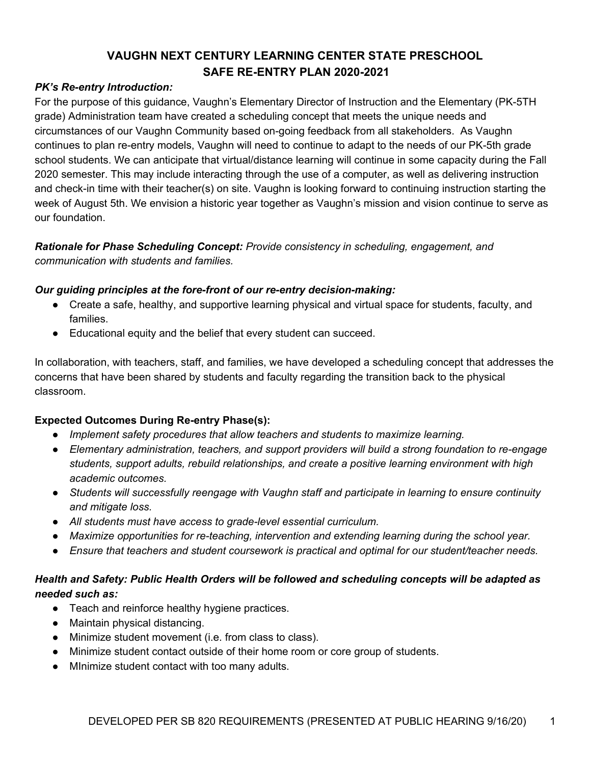#### *PK's Re-entry Introduction:*

For the purpose of this guidance, Vaughn's Elementary Director of Instruction and the Elementary (PK-5TH grade) Administration team have created a scheduling concept that meets the unique needs and circumstances of our Vaughn Community based on-going feedback from all stakeholders. As Vaughn continues to plan re-entry models, Vaughn will need to continue to adapt to the needs of our PK-5th grade school students. We can anticipate that virtual/distance learning will continue in some capacity during the Fall 2020 semester. This may include interacting through the use of a computer, as well as delivering instruction and check-in time with their teacher(s) on site. Vaughn is looking forward to continuing instruction starting the week of August 5th. We envision a historic year together as Vaughn's mission and vision continue to serve as our foundation.

#### *Rationale for Phase Scheduling Concept: Provide consistency in scheduling, engagement, and communication with students and families.*

#### *Our guiding principles at the fore-front of our re-entry decision-making:*

- Create a safe, healthy, and supportive learning physical and virtual space for students, faculty, and families.
- Educational equity and the belief that every student can succeed.

In collaboration, with teachers, staff, and families, we have developed a scheduling concept that addresses the concerns that have been shared by students and faculty regarding the transition back to the physical classroom.

#### **Expected Outcomes During Re-entry Phase(s):**

- *● Implement safety procedures that allow teachers and students to maximize learning.*
- *● Elementary administration, teachers, and support providers will build a strong foundation to re-engage students, support adults, rebuild relationships, and create a positive learning environment with high academic outcomes.*
- *● Students will successfully reengage with Vaughn staff and participate in learning to ensure continuity and mitigate loss.*
- *● All students must have access to grade-level essential curriculum.*
- *● Maximize opportunities for re-teaching, intervention and extending learning during the school year.*
- *● Ensure that teachers and student coursework is practical and optimal for our student/teacher needs.*

## *Health and Safety: Public Health Orders will be followed and scheduling concepts will be adapted as needed such as:*

- Teach and reinforce healthy hygiene practices.
- Maintain physical distancing.
- Minimize student movement (i.e. from class to class).
- Minimize student contact outside of their home room or core group of students.
- MInimize student contact with too many adults.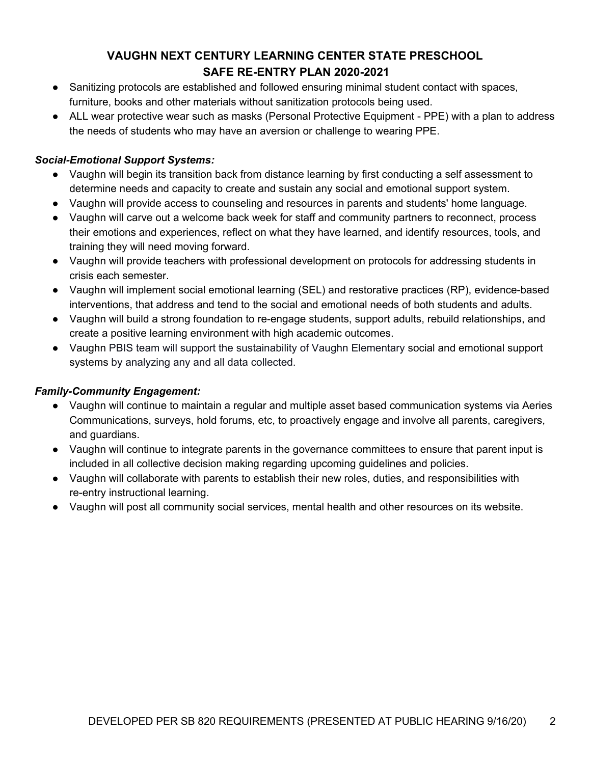- Sanitizing protocols are established and followed ensuring minimal student contact with spaces, furniture, books and other materials without sanitization protocols being used.
- ALL wear protective wear such as masks (Personal Protective Equipment PPE) with a plan to address the needs of students who may have an aversion or challenge to wearing PPE.

#### *Social-Emotional Support Systems:*

- Vaughn will begin its transition back from distance learning by first conducting a self assessment to determine needs and capacity to create and sustain any social and emotional support system.
- Vaughn will provide access to counseling and resources in parents and students' home language.
- Vaughn will carve out a welcome back week for staff and community partners to reconnect, process their emotions and experiences, reflect on what they have learned, and identify resources, tools, and training they will need moving forward.
- Vaughn will provide teachers with professional development on protocols for addressing students in crisis each semester.
- Vaughn will implement social emotional learning (SEL) and restorative practices (RP), evidence-based interventions, that address and tend to the social and emotional needs of both students and adults.
- Vaughn will build a strong foundation to re-engage students, support adults, rebuild relationships, and create a positive learning environment with high academic outcomes.
- Vaughn PBIS team will support the sustainability of Vaughn Elementary social and emotional support systems by analyzing any and all data collected.

## *Family-Community Engagement:*

- Vaughn will continue to maintain a regular and multiple asset based communication systems via Aeries Communications, surveys, hold forums, etc, to proactively engage and involve all parents, caregivers, and guardians.
- Vaughn will continue to integrate parents in the governance committees to ensure that parent input is included in all collective decision making regarding upcoming guidelines and policies.
- Vaughn will collaborate with parents to establish their new roles, duties, and responsibilities with re-entry instructional learning.
- Vaughn will post all community social services, mental health and other resources on its website.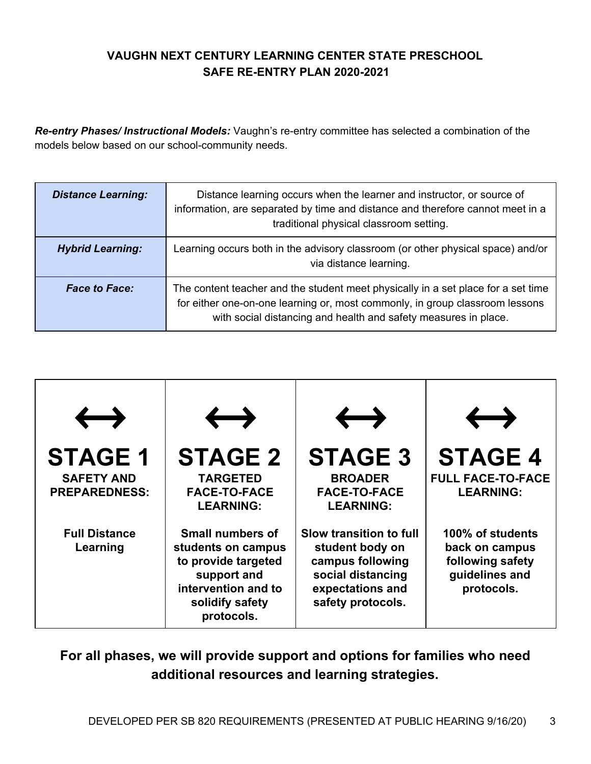*Re-entry Phases/ Instructional Models:* Vaughn's re-entry committee has selected a combination of the models below based on our school-community needs.

| <b>Distance Learning:</b> | Distance learning occurs when the learner and instructor, or source of<br>information, are separated by time and distance and therefore cannot meet in a<br>traditional physical classroom setting.                                  |
|---------------------------|--------------------------------------------------------------------------------------------------------------------------------------------------------------------------------------------------------------------------------------|
| <b>Hybrid Learning:</b>   | Learning occurs both in the advisory classroom (or other physical space) and/or<br>via distance learning.                                                                                                                            |
| <b>Face to Face:</b>      | The content teacher and the student meet physically in a set place for a set time<br>for either one-on-one learning or, most commonly, in group classroom lessons<br>with social distancing and health and safety measures in place. |



**For all phases, we will provide support and options for families who need additional resources and learning strategies.**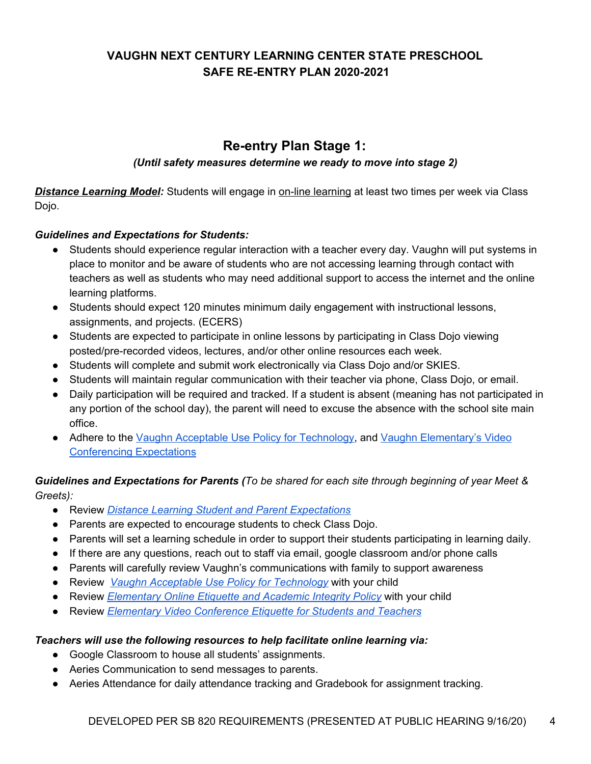# **Re-entry Plan Stage 1:**

#### *(Until safety measures determine we ready to move into stage 2)*

**Distance Learning Model:** Students will engage in on-line learning at least two times per week via Class Dojo.

#### *Guidelines and Expectations for Students:*

- *●* Students should experience regular interaction with a teacher every day. Vaughn will put systems in place to monitor and be aware of students who are not accessing learning through contact with teachers as well as students who may need additional support to access the internet and the online learning platforms.
- Students should expect 120 minutes minimum daily engagement with instructional lessons, assignments, and projects. (ECERS)
- Students are expected to participate in online lessons by participating in Class Dojo viewing posted/pre-recorded videos, lectures, and/or other online resources each week.
- Students will complete and submit work electronically via Class Dojo and/or SKIES.
- Students will maintain regular communication with their teacher via phone, Class Dojo, or email.
- Daily participation will be required and tracked. If a student is absent (meaning has not participated in any portion of the school day), the parent will need to excuse the absence with the school site main office.
- Adhere to the Vaughn Acceptable Use Policy for [Technology,](https://docs.google.com/document/d/14h8LzJQND-jGa_pn2FxFSG_rHwtmd01x8YLFSYfRHUs/edit?usp=sharing) and Vaughn [Elementary's](https://docs.google.com/document/d/101lzwie12WbcNsEKBC7MilOWW120byGpdDYa4EdJ6CY/edit?usp=sharing) Video [Conferencing](https://docs.google.com/document/d/101lzwie12WbcNsEKBC7MilOWW120byGpdDYa4EdJ6CY/edit?usp=sharing) Expectations

#### Guidelines and Expectations for Parents (To be shared for each site through beginning of year Meet & *Greets):*

- Review *Distance Learning Student and Parent [Expectations](https://docs.google.com/document/d/1om_Hko-ERgZhbWUcEpQD0owcwiw1f9AGleuwMMMAaNA/edit?usp=sharing)*
- Parents are expected to encourage students to check Class Dojo.
- Parents will set a learning schedule in order to support their students participating in learning daily.
- If there are any questions, reach out to staff via email, google classroom and/or phone calls
- Parents will carefully review Vaughn's communications with family to support awareness
- Review *Vaughn Acceptable Use Policy for [Technology](https://docs.google.com/document/d/14h8LzJQND-jGa_pn2FxFSG_rHwtmd01x8YLFSYfRHUs/edit?usp=sharing)* with your child
- Review *[Elementary](https://docs.google.com/document/d/1_4LsSjOcwu2OD7t8xSgf3UF5KLdaIjHP3XSwoFuEPrE/edit?usp=sharing) Online Etiquette and Academic Integrity Policy* with your child
- Review *Elementary Video [Conference](https://docs.google.com/document/d/101lzwie12WbcNsEKBC7MilOWW120byGpdDYa4EdJ6CY/edit?usp=sharing) Etiquette for Students and Teachers*

#### *Teachers will use the following resources to help facilitate online learning via:*

- Google Classroom to house all students' assignments.
- Aeries Communication to send messages to parents.
- Aeries Attendance for daily attendance tracking and Gradebook for assignment tracking.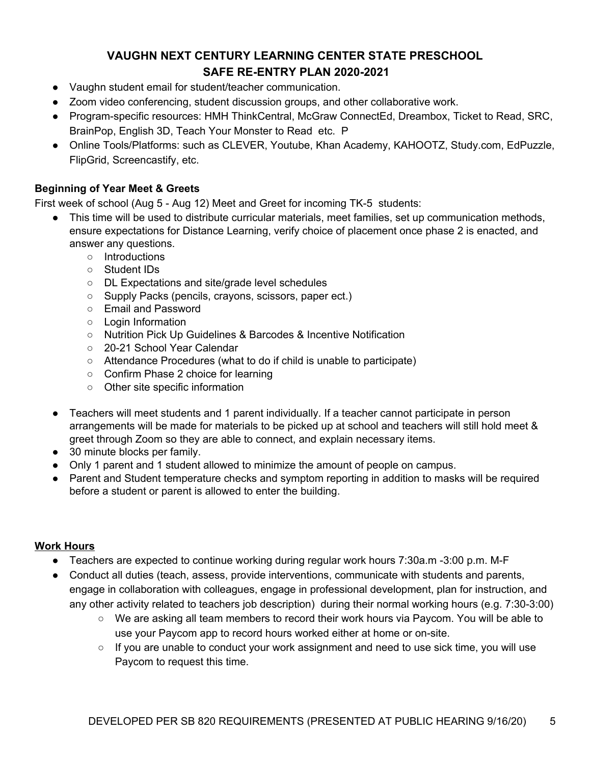- Vaughn student email for student/teacher communication.
- Zoom video conferencing, student discussion groups, and other collaborative work.
- Program-specific resources: HMH ThinkCentral, McGraw ConnectEd, Dreambox, Ticket to Read, SRC, BrainPop, English 3D, Teach Your Monster to Read etc. P
- Online Tools/Platforms: such as CLEVER, Youtube, Khan Academy, KAHOOTZ, Study.com, EdPuzzle, FlipGrid, Screencastify, etc.

#### **Beginning of Year Meet & Greets**

First week of school (Aug 5 - Aug 12) Meet and Greet for incoming TK-5 students:

- This time will be used to distribute curricular materials, meet families, set up communication methods, ensure expectations for Distance Learning, verify choice of placement once phase 2 is enacted, and answer any questions.
	- Introductions
	- Student IDs
	- DL Expectations and site/grade level schedules
	- Supply Packs (pencils, crayons, scissors, paper ect.)
	- Email and Password
	- Login Information
	- Nutrition Pick Up Guidelines & Barcodes & Incentive Notification
	- 20-21 School Year Calendar
	- Attendance Procedures (what to do if child is unable to participate)
	- Confirm Phase 2 choice for learning
	- Other site specific information
- Teachers will meet students and 1 parent individually. If a teacher cannot participate in person arrangements will be made for materials to be picked up at school and teachers will still hold meet & greet through Zoom so they are able to connect, and explain necessary items.
- 30 minute blocks per family.
- Only 1 parent and 1 student allowed to minimize the amount of people on campus.
- Parent and Student temperature checks and symptom reporting in addition to masks will be required before a student or parent is allowed to enter the building.

#### **Work Hours**

- Teachers are expected to continue working during regular work hours 7:30a.m -3:00 p.m. M-F
- Conduct all duties (teach, assess, provide interventions, communicate with students and parents, engage in collaboration with colleagues, engage in professional development, plan for instruction, and any other activity related to teachers job description) during their normal working hours (e.g. 7:30-3:00)
	- We are asking all team members to record their work hours via Paycom. You will be able to use your Paycom app to record hours worked either at home or on-site.
	- If you are unable to conduct your work assignment and need to use sick time, you will use Paycom to request this time.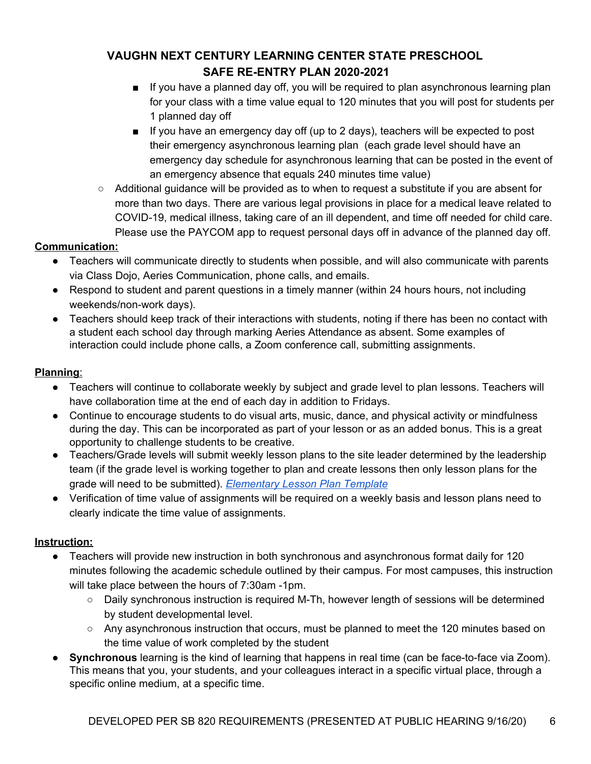- If you have a planned day off, you will be required to plan asynchronous learning plan for your class with a time value equal to 120 minutes that you will post for students per 1 planned day off
- If you have an emergency day off (up to 2 days), teachers will be expected to post their emergency asynchronous learning plan (each grade level should have an emergency day schedule for asynchronous learning that can be posted in the event of an emergency absence that equals 240 minutes time value)
- $\circ$  Additional guidance will be provided as to when to request a substitute if you are absent for more than two days. There are various legal provisions in place for a medical leave related to COVID-19, medical illness, taking care of an ill dependent, and time off needed for child care. Please use the PAYCOM app to request personal days off in advance of the planned day off.

#### **Communication:**

- Teachers will communicate directly to students when possible, and will also communicate with parents via Class Dojo, Aeries Communication, phone calls, and emails.
- Respond to student and parent questions in a timely manner (within 24 hours hours, not including weekends/non-work days).
- Teachers should keep track of their interactions with students, noting if there has been no contact with a student each school day through marking Aeries Attendance as absent. Some examples of interaction could include phone calls, a Zoom conference call, submitting assignments.

## **Planning**:

- Teachers will continue to collaborate weekly by subject and grade level to plan lessons. Teachers will have collaboration time at the end of each day in addition to Fridays.
- Continue to encourage students to do visual arts, music, dance, and physical activity or mindfulness during the day. This can be incorporated as part of your lesson or as an added bonus. This is a great opportunity to challenge students to be creative.
- Teachers/Grade levels will submit weekly lesson plans to the site leader determined by the leadership team (if the grade level is working together to plan and create lessons then only lesson plans for the grade will need to be submitted). *[Elementary](https://docs.google.com/document/d/11SfPVEaOPGuSSsLlcI19Mr9XUmhgWOo1aujOjqmmyN4/edit?usp=sharing) Lesson Plan Template*
- Verification of time value of assignments will be required on a weekly basis and lesson plans need to clearly indicate the time value of assignments.

## **Instruction:**

- Teachers will provide new instruction in both synchronous and asynchronous format daily for 120 minutes following the academic schedule outlined by their campus. For most campuses, this instruction will take place between the hours of 7:30am -1pm.
	- Daily synchronous instruction is required M-Th, however length of sessions will be determined by student developmental level.
	- Any asynchronous instruction that occurs, must be planned to meet the 120 minutes based on the time value of work completed by the student
- **Synchronous** learning is the kind of learning that happens in real time (can be face-to-face via Zoom). This means that you, your students, and your colleagues interact in a specific virtual place, through a specific online medium, at a specific time.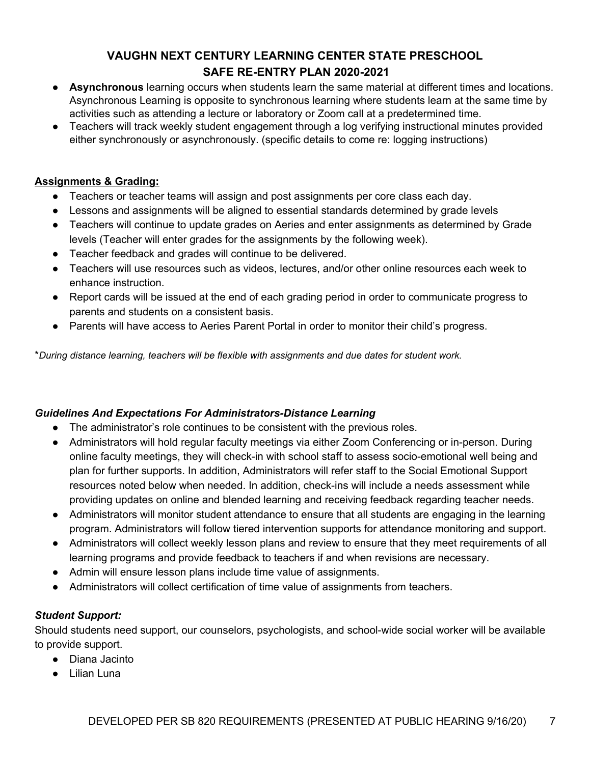- **● Asynchronous** learning occurs when students learn the same material at different times and locations. Asynchronous Learning is opposite to synchronous learning where students learn at the same time by activities such as attending a lecture or laboratory or Zoom call at a predetermined time.
- Teachers will track weekly student engagement through a log verifying instructional minutes provided either synchronously or asynchronously. (specific details to come re: logging instructions)

#### **Assignments & Grading:**

- Teachers or teacher teams will assign and post assignments per core class each day.
- Lessons and assignments will be aligned to essential standards determined by grade levels
- Teachers will continue to update grades on Aeries and enter assignments as determined by Grade levels (Teacher will enter grades for the assignments by the following week).
- Teacher feedback and grades will continue to be delivered.
- Teachers will use resources such as videos, lectures, and/or other online resources each week to enhance instruction.
- Report cards will be issued at the end of each grading period in order to communicate progress to parents and students on a consistent basis.
- Parents will have access to Aeries Parent Portal in order to monitor their child's progress.

\**During distance learning, teachers will be flexible with assignments and due dates for student work.*

#### *Guidelines And Expectations For Administrators-Distance Learning*

- The administrator's role continues to be consistent with the previous roles.
- Administrators will hold regular faculty meetings via either Zoom Conferencing or in-person. During online faculty meetings, they will check-in with school staff to assess socio-emotional well being and plan for further supports. In addition, Administrators will refer staff to the Social Emotional Support resources noted below when needed. In addition, check-ins will include a needs assessment while providing updates on online and blended learning and receiving feedback regarding teacher needs.
- Administrators will monitor student attendance to ensure that all students are engaging in the learning program. Administrators will follow tiered intervention supports for attendance monitoring and support.
- Administrators will collect weekly lesson plans and review to ensure that they meet requirements of all learning programs and provide feedback to teachers if and when revisions are necessary.
- Admin will ensure lesson plans include time value of assignments.
- Administrators will collect certification of time value of assignments from teachers.

## *Student Support:*

Should students need support, our counselors, psychologists, and school-wide social worker will be available to provide support.

- Diana Jacinto
- Lilian Luna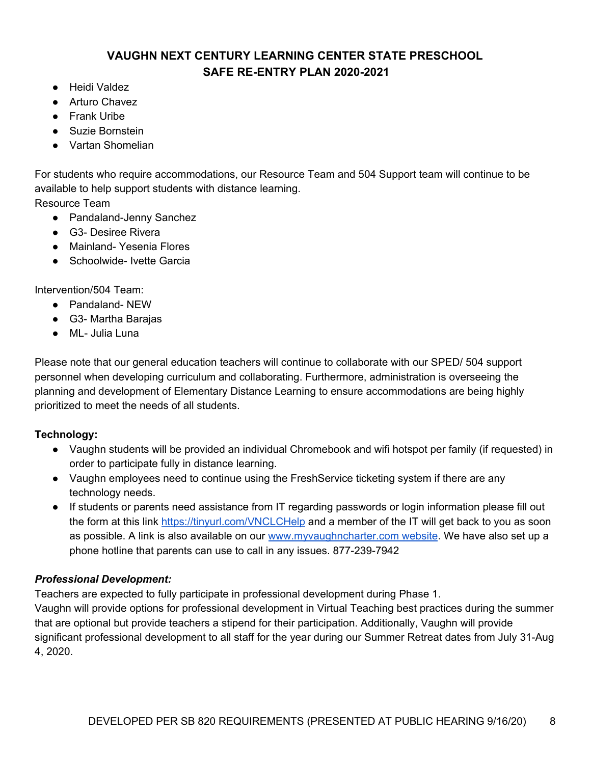- Heidi Valdez
- Arturo Chavez
- Frank Uribe
- Suzie Bornstein
- Vartan Shomelian

For students who require accommodations, our Resource Team and 504 Support team will continue to be available to help support students with distance learning.

Resource Team

- Pandaland-Jenny Sanchez
- G3- Desiree Rivera
- Mainland-Yesenia Flores
- Schoolwide- Ivette Garcia

Intervention/504 Team:

- Pandaland- NEW
- G3- Martha Barajas
- ML- Julia Luna

Please note that our general education teachers will continue to collaborate with our SPED/ 504 support personnel when developing curriculum and collaborating. Furthermore, administration is overseeing the planning and development of Elementary Distance Learning to ensure accommodations are being highly prioritized to meet the needs of all students.

#### **Technology:**

- Vaughn students will be provided an individual Chromebook and wifi hotspot per family (if requested) in order to participate fully in distance learning.
- Vaughn employees need to continue using the FreshService ticketing system if there are any technology needs.
- If students or parents need assistance from IT regarding passwords or login information please fill out the form at this link <https://tinyurl.com/VNCLCHelp> and a member of the IT will get back to you as soon as possible. A link is also available on our [www.myvaughncharter.com](http://www.myvaughncharter.com/) website. We have also set up a phone hotline that parents can use to call in any issues. 877-239-7942

#### *Professional Development:*

Teachers are expected to fully participate in professional development during Phase 1.

Vaughn will provide options for professional development in Virtual Teaching best practices during the summer that are optional but provide teachers a stipend for their participation. Additionally, Vaughn will provide significant professional development to all staff for the year during our Summer Retreat dates from July 31-Aug 4, 2020.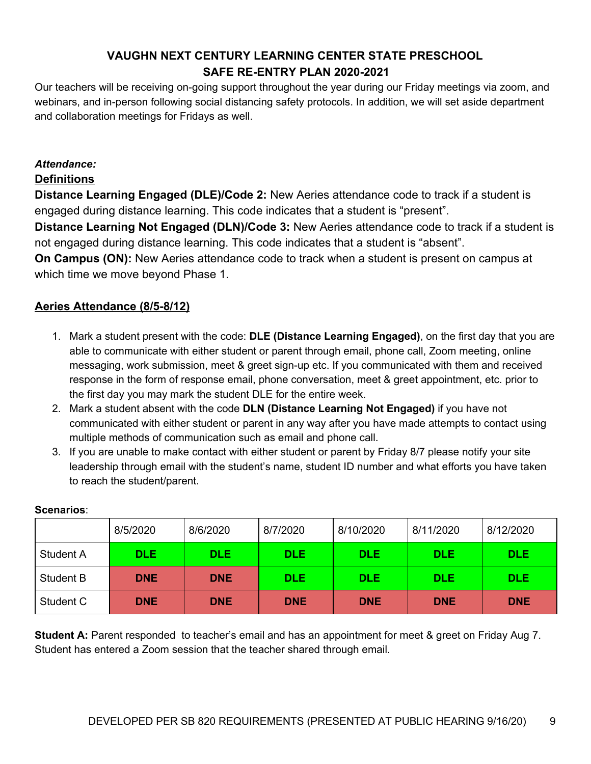Our teachers will be receiving on-going support throughout the year during our Friday meetings via zoom, and webinars, and in-person following social distancing safety protocols. In addition, we will set aside department and collaboration meetings for Fridays as well.

## *Attendance:*

#### **Definitions**

**Distance Learning Engaged (DLE)/Code 2:** New Aeries attendance code to track if a student is engaged during distance learning. This code indicates that a student is "present".

**Distance Learning Not Engaged (DLN)/Code 3:** New Aeries attendance code to track if a student is not engaged during distance learning. This code indicates that a student is "absent".

**On Campus (ON):** New Aeries attendance code to track when a student is present on campus at which time we move beyond Phase 1.

## **Aeries Attendance (8/5-8/12)**

- 1. Mark a student present with the code: **DLE (Distance Learning Engaged)**, on the first day that you are able to communicate with either student or parent through email, phone call, Zoom meeting, online messaging, work submission, meet & greet sign-up etc. If you communicated with them and received response in the form of response email, phone conversation, meet & greet appointment, etc. prior to the first day you may mark the student DLE for the entire week.
- 2. Mark a student absent with the code **DLN (Distance Learning Not Engaged)** if you have not communicated with either student or parent in any way after you have made attempts to contact using multiple methods of communication such as email and phone call.
- 3. If you are unable to make contact with either student or parent by Friday 8/7 please notify your site leadership through email with the student's name, student ID number and what efforts you have taken to reach the student/parent.

|           | 8/5/2020   | 8/6/2020   | 8/7/2020   | 8/10/2020  | 8/11/2020  | 8/12/2020  |
|-----------|------------|------------|------------|------------|------------|------------|
| Student A | <b>DLE</b> | <b>DLE</b> | <b>DLE</b> | <b>DLE</b> | <b>DLE</b> | <b>DLE</b> |
| Student B | <b>DNE</b> | <b>DNE</b> | <b>DLE</b> | DLE.       | <b>DLE</b> | DLE.       |
| Student C | <b>DNE</b> | <b>DNE</b> | <b>DNE</b> | <b>DNE</b> | <b>DNE</b> | <b>DNE</b> |

#### **Scenarios**:

**Student A:** Parent responded to teacher's email and has an appointment for meet & greet on Friday Aug 7. Student has entered a Zoom session that the teacher shared through email.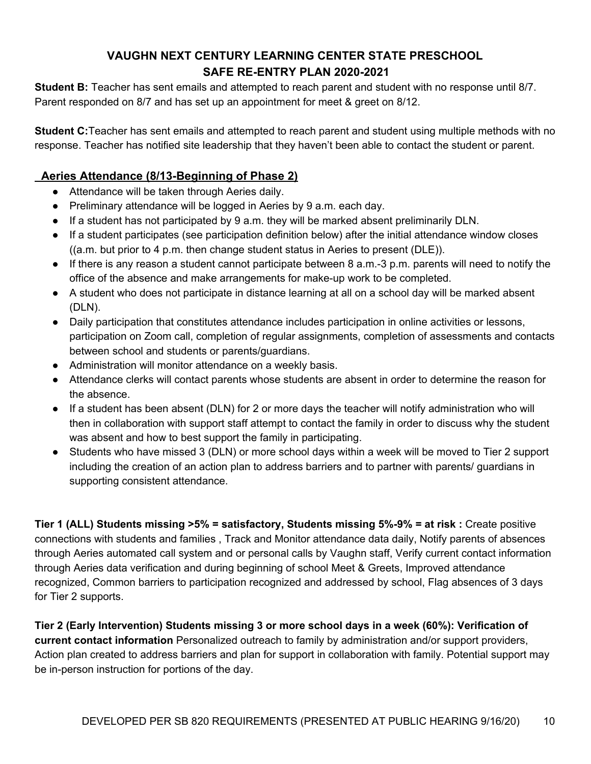**Student B:** Teacher has sent emails and attempted to reach parent and student with no response until 8/7. Parent responded on 8/7 and has set up an appointment for meet & greet on 8/12.

**Student C:**Teacher has sent emails and attempted to reach parent and student using multiple methods with no response. Teacher has notified site leadership that they haven't been able to contact the student or parent.

## **Aeries Attendance (8/13-Beginning of Phase 2)**

- Attendance will be taken through Aeries daily.
- Preliminary attendance will be logged in Aeries by 9 a.m. each day.
- If a student has not participated by 9 a.m. they will be marked absent preliminarily DLN.
- If a student participates (see participation definition below) after the initial attendance window closes ((a.m. but prior to 4 p.m. then change student status in Aeries to present (DLE)).
- If there is any reason a student cannot participate between 8 a.m.-3 p.m. parents will need to notify the office of the absence and make arrangements for make-up work to be completed.
- A student who does not participate in distance learning at all on a school day will be marked absent (DLN).
- Daily participation that constitutes attendance includes participation in online activities or lessons, participation on Zoom call, completion of regular assignments, completion of assessments and contacts between school and students or parents/guardians.
- Administration will monitor attendance on a weekly basis.
- Attendance clerks will contact parents whose students are absent in order to determine the reason for the absence.
- If a student has been absent (DLN) for 2 or more days the teacher will notify administration who will then in collaboration with support staff attempt to contact the family in order to discuss why the student was absent and how to best support the family in participating.
- Students who have missed 3 (DLN) or more school days within a week will be moved to Tier 2 support including the creation of an action plan to address barriers and to partner with parents/ guardians in supporting consistent attendance.

**Tier 1 (ALL) Students missing >5% = satisfactory, Students missing 5%-9% = at risk :** Create positive connections with students and families , Track and Monitor attendance data daily, Notify parents of absences through Aeries automated call system and or personal calls by Vaughn staff, Verify current contact information through Aeries data verification and during beginning of school Meet & Greets, Improved attendance recognized, Common barriers to participation recognized and addressed by school, Flag absences of 3 days for Tier 2 supports.

**Tier 2 (Early Intervention) Students missing 3 or more school days in a week (60%): Verification of current contact information** Personalized outreach to family by administration and/or support providers, Action plan created to address barriers and plan for support in collaboration with family. Potential support may be in-person instruction for portions of the day.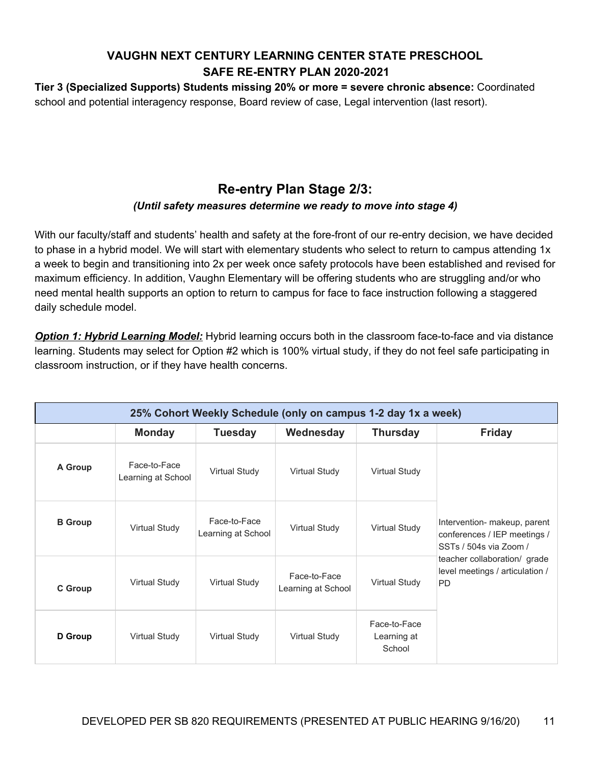**Tier 3 (Specialized Supports) Students missing 20% or more = severe chronic absence:** Coordinated school and potential interagency response, Board review of case, Legal intervention (last resort).

# **Re-entry Plan Stage 2/3:**

## *(Until safety measures determine we ready to move into stage 4)*

With our faculty/staff and students' health and safety at the fore-front of our re-entry decision, we have decided to phase in a hybrid model. We will start with elementary students who select to return to campus attending 1x a week to begin and transitioning into 2x per week once safety protocols have been established and revised for maximum efficiency. In addition, Vaughn Elementary will be offering students who are struggling and/or who need mental health supports an option to return to campus for face to face instruction following a staggered daily schedule model.

*Option 1: Hybrid Learning Model:* Hybrid learning occurs both in the classroom face-to-face and via distance learning. Students may select for Option #2 which is 100% virtual study, if they do not feel safe participating in classroom instruction, or if they have health concerns.

|                | 25% Cohort Weekly Schedule (only on campus 1-2 day 1x a week) |                                    |                                    |                                       |                                                                                        |  |
|----------------|---------------------------------------------------------------|------------------------------------|------------------------------------|---------------------------------------|----------------------------------------------------------------------------------------|--|
|                | <b>Monday</b>                                                 | <b>Tuesday</b>                     | Wednesday                          | <b>Thursday</b>                       | <b>Friday</b>                                                                          |  |
| A Group        | Face-to-Face<br>Learning at School                            | <b>Virtual Study</b>               | <b>Virtual Study</b>               | <b>Virtual Study</b>                  |                                                                                        |  |
| <b>B</b> Group | <b>Virtual Study</b>                                          | Face-to-Face<br>Learning at School | <b>Virtual Study</b>               | <b>Virtual Study</b>                  | Intervention- makeup, parent<br>conferences / IEP meetings /<br>SSTs / 504s via Zoom / |  |
| C Group        | <b>Virtual Study</b>                                          | <b>Virtual Study</b>               | Face-to-Face<br>Learning at School | <b>Virtual Study</b>                  | teacher collaboration/ grade<br>level meetings / articulation /<br><b>PD</b>           |  |
| D Group        | Virtual Study                                                 | <b>Virtual Study</b>               | Virtual Study                      | Face-to-Face<br>Learning at<br>School |                                                                                        |  |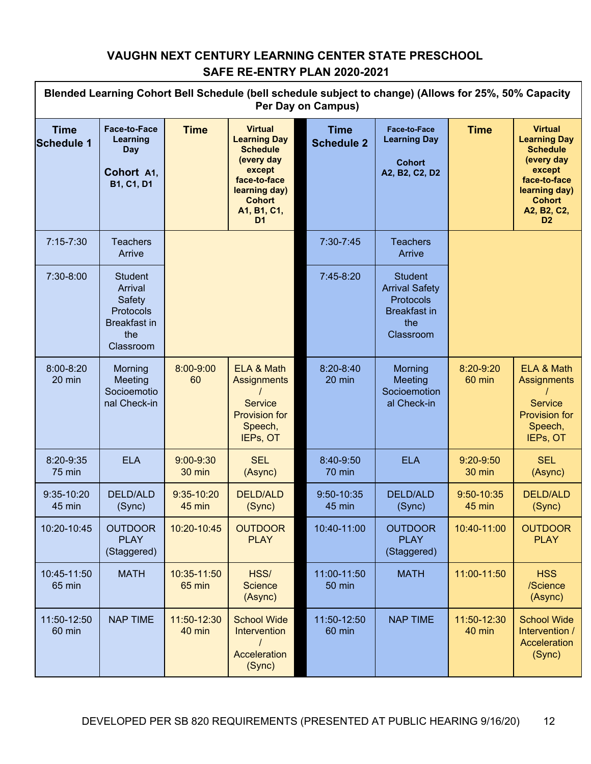| Blended Learning Cohort Bell Schedule (bell schedule subject to change) (Allows for 25%, 50% Capacity<br><b>Per Day on Campus)</b> |                                                                                             |                         |                                                                                                                                                                     |                                  |                                                                                                        |                       |                                                                                                                                                                     |
|------------------------------------------------------------------------------------------------------------------------------------|---------------------------------------------------------------------------------------------|-------------------------|---------------------------------------------------------------------------------------------------------------------------------------------------------------------|----------------------------------|--------------------------------------------------------------------------------------------------------|-----------------------|---------------------------------------------------------------------------------------------------------------------------------------------------------------------|
| <b>Time</b><br><b>Schedule 1</b>                                                                                                   | <b>Face-to-Face</b><br>Learning<br>Day<br>Cohort A1,<br><b>B1, C1, D1</b>                   | <b>Time</b>             | <b>Virtual</b><br><b>Learning Day</b><br><b>Schedule</b><br>(every day<br>except<br>face-to-face<br>learning day)<br><b>Cohort</b><br>A1, B1, C1,<br>D <sub>1</sub> | <b>Time</b><br><b>Schedule 2</b> | Face-to-Face<br><b>Learning Day</b><br><b>Cohort</b><br>A2, B2, C2, D2                                 | <b>Time</b>           | <b>Virtual</b><br><b>Learning Day</b><br><b>Schedule</b><br>(every day<br>except<br>face-to-face<br>learning day)<br><b>Cohort</b><br>A2, B2, C2,<br>D <sub>2</sub> |
| $7:15 - 7:30$                                                                                                                      | <b>Teachers</b><br>Arrive                                                                   |                         |                                                                                                                                                                     | 7:30-7:45                        | <b>Teachers</b><br>Arrive                                                                              |                       |                                                                                                                                                                     |
| 7:30-8:00                                                                                                                          | <b>Student</b><br>Arrival<br>Safety<br>Protocols<br><b>Breakfast</b> in<br>the<br>Classroom |                         |                                                                                                                                                                     | 7:45-8:20                        | <b>Student</b><br><b>Arrival Safety</b><br><b>Protocols</b><br><b>Breakfast in</b><br>the<br>Classroom |                       |                                                                                                                                                                     |
| 8:00-8:20<br>20 min                                                                                                                | Morning<br>Meeting<br>Socioemotio<br>nal Check-in                                           | 8:00-9:00<br>60         | ELA & Math<br><b>Assignments</b><br><b>Service</b><br><b>Provision for</b><br>Speech,<br>IEPs, OT                                                                   | $8:20 - 8:40$<br>20 min          | Morning<br>Meeting<br>Socioemotion<br>al Check-in                                                      | 8:20-9:20<br>60 min   | ELA & Math<br>Assignments<br><b>Service</b><br><b>Provision for</b><br>Speech,<br>IEPs, OT                                                                          |
| 8:20-9:35<br><b>75 min</b>                                                                                                         | <b>ELA</b>                                                                                  | $9:00 - 9:30$<br>30 min | <b>SEL</b><br>(Async)                                                                                                                                               | 8:40-9:50<br>70 min              | <b>ELA</b>                                                                                             | $9:20-9:50$<br>30 min | <b>SEL</b><br>(Async)                                                                                                                                               |
| 9:35-10:20<br>45 min                                                                                                               | <b>DELD/ALD</b><br>(Sync)                                                                   | 9:35-10:20<br>45 min    | <b>DELD/ALD</b><br>(Sync)                                                                                                                                           | 9:50-10:35<br>45 min             | <b>DELD/ALD</b><br>(Sync)                                                                              | 9:50-10:35<br>45 min  | <b>DELD/ALD</b><br>(Sync)                                                                                                                                           |
| 10:20-10:45                                                                                                                        | <b>OUTDOOR</b><br><b>PLAY</b><br>(Staggered)                                                | 10:20-10:45             | <b>OUTDOOR</b><br><b>PLAY</b>                                                                                                                                       | 10:40-11:00                      | <b>OUTDOOR</b><br><b>PLAY</b><br>(Staggered)                                                           | 10:40-11:00           | <b>OUTDOOR</b><br><b>PLAY</b>                                                                                                                                       |
| 10:45-11:50<br>65 min                                                                                                              | <b>MATH</b>                                                                                 | 10:35-11:50<br>65 min   | HSS/<br><b>Science</b><br>(Async)                                                                                                                                   | 11:00-11:50<br><b>50 min</b>     | <b>MATH</b>                                                                                            | 11:00-11:50           | <b>HSS</b><br>/Science<br>(Async)                                                                                                                                   |
| 11:50-12:50<br>60 min                                                                                                              | <b>NAP TIME</b>                                                                             | 11:50-12:30<br>40 min   | <b>School Wide</b><br><b>Intervention</b><br>Acceleration<br>(Sync)                                                                                                 | 11:50-12:50<br>60 min            | <b>NAP TIME</b>                                                                                        | 11:50-12:30<br>40 min | <b>School Wide</b><br>Intervention /<br>Acceleration<br>(Sync)                                                                                                      |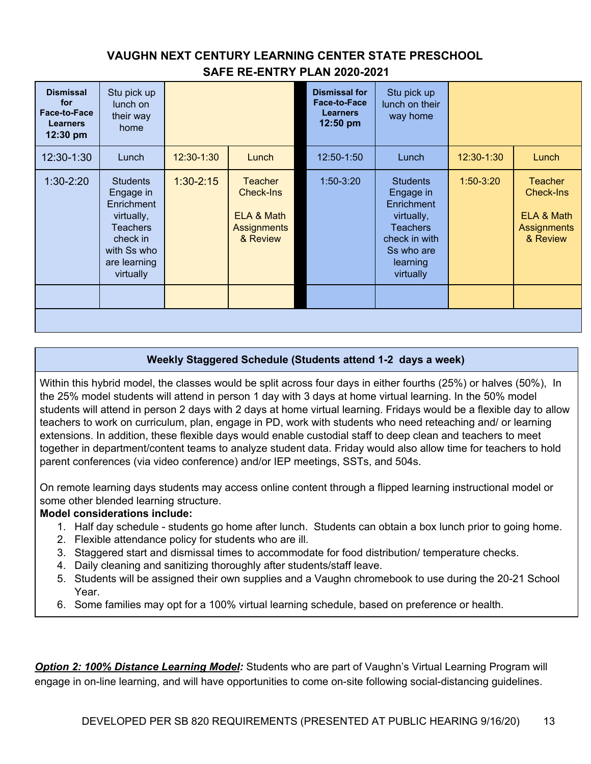| <b>Dismissal</b><br>for<br>Face-to-Face<br><b>Learners</b><br>12:30 pm | Stu pick up<br>lunch on<br>their way<br>home                                                                                               |             |                                                                             | <b>Dismissal for</b><br>Face-to-Face<br><b>Learners</b><br>12:50 pm | Stu pick up<br>lunch on their<br>way home                                                                                           |             |                                                                                    |
|------------------------------------------------------------------------|--------------------------------------------------------------------------------------------------------------------------------------------|-------------|-----------------------------------------------------------------------------|---------------------------------------------------------------------|-------------------------------------------------------------------------------------------------------------------------------------|-------------|------------------------------------------------------------------------------------|
| 12:30-1:30                                                             | Lunch                                                                                                                                      | 12:30-1:30  | Lunch                                                                       | 12:50-1:50                                                          | Lunch                                                                                                                               | 12:30-1:30  | Lunch                                                                              |
| $1:30-2:20$                                                            | <b>Students</b><br>Engage in<br><b>Enrichment</b><br>virtually,<br><b>Teachers</b><br>check in<br>with Ss who<br>are learning<br>virtually | $1:30-2:15$ | <b>Teacher</b><br>Check-Ins<br>ELA & Math<br><b>Assignments</b><br>& Review | $1:50-3:20$                                                         | <b>Students</b><br>Engage in<br>Enrichment<br>virtually,<br><b>Teachers</b><br>check in with<br>Ss who are<br>learning<br>virtually | $1:50-3:20$ | <b>Teacher</b><br><b>Check-Ins</b><br>ELA & Math<br><b>Assignments</b><br>& Review |
|                                                                        |                                                                                                                                            |             |                                                                             |                                                                     |                                                                                                                                     |             |                                                                                    |
|                                                                        |                                                                                                                                            |             |                                                                             |                                                                     |                                                                                                                                     |             |                                                                                    |

#### **Weekly Staggered Schedule (Students attend 1-2 days a week)**

Within this hybrid model, the classes would be split across four days in either fourths (25%) or halves (50%), In the 25% model students will attend in person 1 day with 3 days at home virtual learning. In the 50% model students will attend in person 2 days with 2 days at home virtual learning. Fridays would be a flexible day to allow teachers to work on curriculum, plan, engage in PD, work with students who need reteaching and/ or learning extensions. In addition, these flexible days would enable custodial staff to deep clean and teachers to meet together in department/content teams to analyze student data. Friday would also allow time for teachers to hold parent conferences (via video conference) and/or IEP meetings, SSTs, and 504s.

On remote learning days students may access online content through a flipped learning instructional model or some other blended learning structure.

#### **Model considerations include:**

- 1. Half day schedule students go home after lunch. Students can obtain a box lunch prior to going home.
- 2. Flexible attendance policy for students who are ill.
- 3. Staggered start and dismissal times to accommodate for food distribution/ temperature checks.
- 4. Daily cleaning and sanitizing thoroughly after students/staff leave.
- 5. Students will be assigned their own supplies and a Vaughn chromebook to use during the 20-21 School Year.
- 6. Some families may opt for a 100% virtual learning schedule, based on preference or health.

*Option 2: 100% Distance Learning Model:* Students who are part of Vaughn's Virtual Learning Program will engage in on-line learning, and will have opportunities to come on-site following social-distancing guidelines.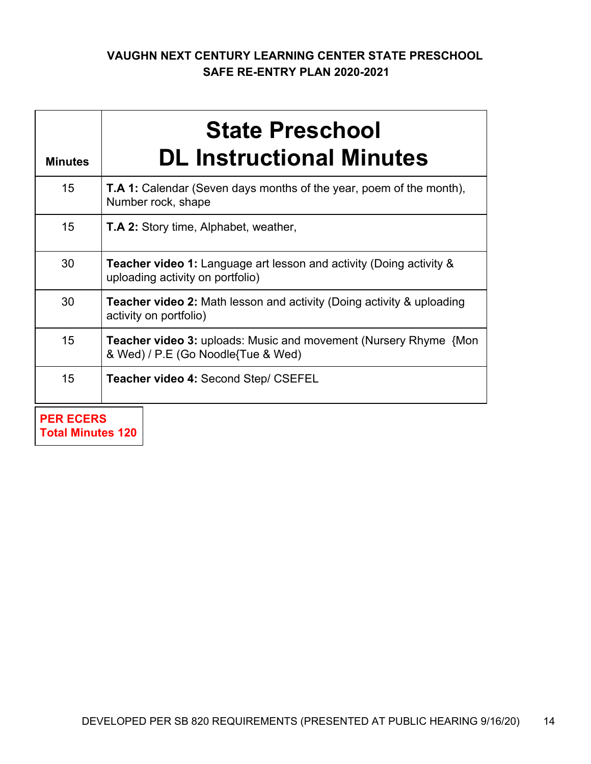| <b>Minutes</b> | <b>State Preschool</b><br><b>DL Instructional Minutes</b>                                                       |  |  |  |  |
|----------------|-----------------------------------------------------------------------------------------------------------------|--|--|--|--|
| 15             | <b>T.A 1:</b> Calendar (Seven days months of the year, poem of the month),<br>Number rock, shape                |  |  |  |  |
| 15             | <b>T.A 2:</b> Story time, Alphabet, weather,                                                                    |  |  |  |  |
| 30             | <b>Teacher video 1:</b> Language art lesson and activity (Doing activity &<br>uploading activity on portfolio)  |  |  |  |  |
| 30             | <b>Teacher video 2:</b> Math lesson and activity (Doing activity & uploading<br>activity on portfolio)          |  |  |  |  |
| 15             | <b>Teacher video 3: uploads: Music and movement (Nursery Rhyme {Mon</b> )<br>& Wed) / P.E (Go Noodle{Tue & Wed) |  |  |  |  |
| 15             | <b>Teacher video 4: Second Step/ CSEFEL</b>                                                                     |  |  |  |  |
|                | <b>PER ECERS</b>                                                                                                |  |  |  |  |

**Total Minutes 120**